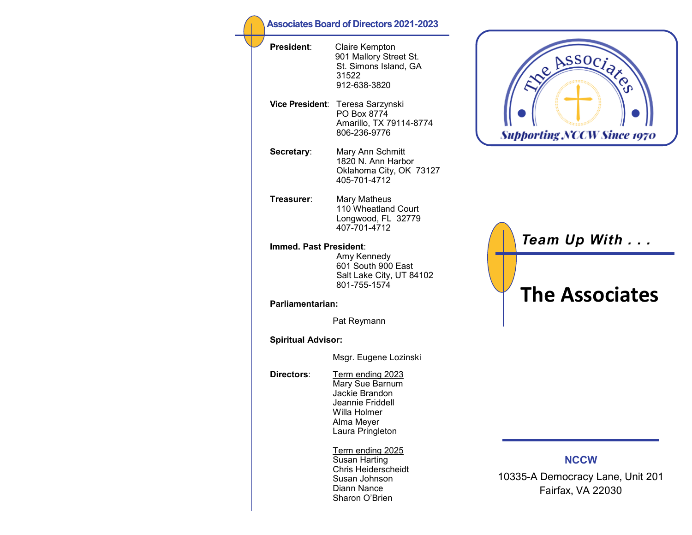| <b>Associates Board of Directors 2021-2023</b> |                                                                                                                             |  |
|------------------------------------------------|-----------------------------------------------------------------------------------------------------------------------------|--|
| President:                                     | Claire Kempton<br>901 Mallory Street St.<br>St. Simons Island, GA<br>31522<br>912-638-3820                                  |  |
| <b>Vice President</b> :                        | Teresa Sarzynski<br>PO Box 8774<br>Amarillo, TX 79114-8774<br>806-236-9776                                                  |  |
| Secretary:                                     | Mary Ann Schmitt<br>1820 N. Ann Harbor<br>Oklahoma City, OK 73127<br>405-701-4712                                           |  |
| Treasurer∶                                     | <b>Mary Matheus</b><br>110 Wheatland Court<br>Longwood, FL 32779<br>407-701-4712                                            |  |
| Immed. Past President:                         | Amy Kennedy<br>601 South 900 East<br>Salt Lake City, UT 84102<br>801-755-1574                                               |  |
| Parliamentarian:                               |                                                                                                                             |  |
|                                                | Pat Reymann                                                                                                                 |  |
| <b>Spiritual Advisor:</b>                      |                                                                                                                             |  |
|                                                | Msgr. Eugene Lozinski                                                                                                       |  |
| Directors:                                     | Term ending 2023<br>Mary Sue Barnum<br>Jackie Brandon<br>Jeannie Friddell<br>Willa Holmer<br>Alma Meyer<br>Laura Pringleton |  |
|                                                | Term ending 2025<br>Susan Harting<br><b>Chris Heiderscheidt</b><br>Susan Johnson<br>Diann Nance<br>Sharon O'Brien           |  |



*Team Up With . . .* **The Associates**

## **NCCW**

10335-A Democracy Lane, Unit 201 Fairfax, VA 22030